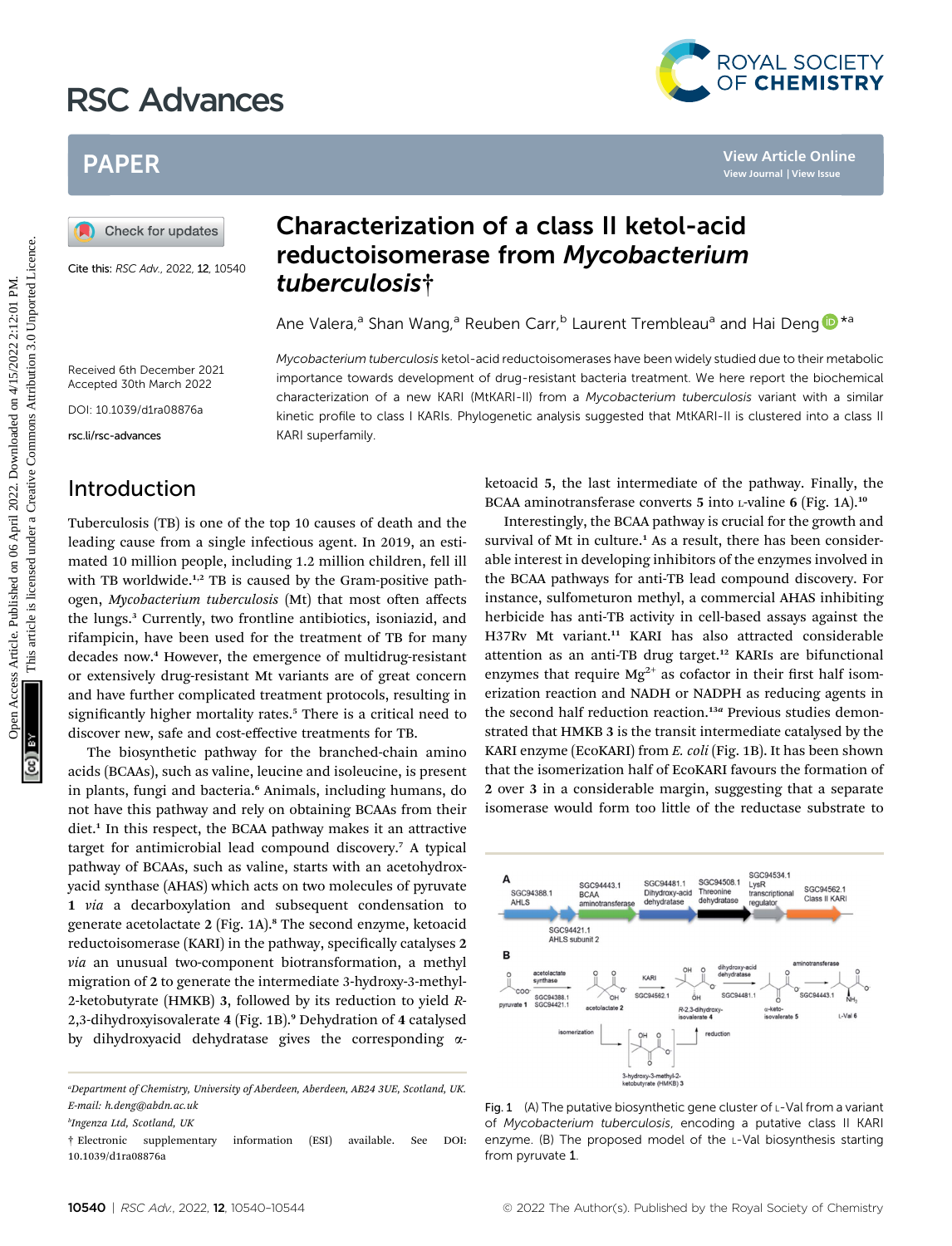# RSC Advances



# PAPER

Cite this: RSC Adv., 2022, 12, 10540

# Characterization of a class II ketol-acid reductoisomerase from Mycobacterium tuberculosis†

Ane Valera,<sup>a</sup> Shan Wang,<sup>a</sup> Reuben Carr,<sup>b</sup> Laurent Trembleau<sup>a</sup> and Hai Deng <sup>D\*a</sup>

Mycobacterium tuberculosis ketol-acid reductoisomerases have been widely studied due to their metabolic importance towards development of drug-resistant bacteria treatment. We here report the biochemical characterization of a new KARI (MtKARI-II) from a Mycobacterium tuberculosis variant with a similar kinetic profile to class I KARIs. Phylogenetic analysis suggested that MtKARI-II is clustered into a class II

Received 6th December 2021 Accepted 30th March 2022

DOI: 10.1039/d1ra08876a

rsc.li/rsc-advances

#### Introduction

Tuberculosis (TB) is one of the top 10 causes of death and the leading cause from a single infectious agent. In 2019, an estimated 10 million people, including 1.2 million children, fell ill with TB worldwide.<sup>1,2</sup> TB is caused by the Gram-positive pathogen, Mycobacterium tuberculosis (Mt) that most often affects the lungs.<sup>3</sup> Currently, two frontline antibiotics, isoniazid, and rifampicin, have been used for the treatment of TB for many decades now.<sup>4</sup> However, the emergence of multidrug-resistant or extensively drug-resistant Mt variants are of great concern and have further complicated treatment protocols, resulting in significantly higher mortality rates.<sup>5</sup> There is a critical need to discover new, safe and cost-effective treatments for TB. PAPER<br>
(a) Check for updates<br>  $\frac{1}{2}$  Check for updates<br>
Covered and **contract Contract Contract Contract Contract Contract Contract Contract Contract Contract Contract Contract Contract Contract Contract Contract Contr** 

KARI superfamily.

The biosynthetic pathway for the branched-chain amino acids (BCAAs), such as valine, leucine and isoleucine, is present in plants, fungi and bacteria.<sup>6</sup> Animals, including humans, do not have this pathway and rely on obtaining BCAAs from their diet.<sup>1</sup> In this respect, the BCAA pathway makes it an attractive target for antimicrobial lead compound discovery.<sup>7</sup> A typical pathway of BCAAs, such as valine, starts with an acetohydroxyacid synthase (AHAS) which acts on two molecules of pyruvate 1 via a decarboxylation and subsequent condensation to generate acetolactate 2 (Fig. 1A).<sup>8</sup> The second enzyme, ketoacid reductoisomerase (KARI) in the pathway, specifically catalyses 2 via an unusual two-component biotransformation, a methyl migration of 2 to generate the intermediate 3-hydroxy-3-methyl-2-ketobutyrate (HMKB) 3, followed by its reduction to yield R-2,3-dihydroxyisovalerate 4 (Fig. 1B).<sup>9</sup> Dehydration of 4 catalysed by dihydroxyacid dehydratase gives the corresponding aketoacid 5, the last intermediate of the pathway. Finally, the BCAA aminotransferase converts 5 into L-valine 6 (Fig. 1A).<sup>10</sup>

Interestingly, the BCAA pathway is crucial for the growth and survival of Mt in culture.<sup>1</sup> As a result, there has been considerable interest in developing inhibitors of the enzymes involved in the BCAA pathways for anti-TB lead compound discovery. For instance, sulfometuron methyl, a commercial AHAS inhibiting herbicide has anti-TB activity in cell-based assays against the H37Rv Mt variant.<sup>11</sup> KARI has also attracted considerable attention as an anti-TB drug target.<sup>12</sup> KARIs are bifunctional enzymes that require  $Mg^{2+}$  as cofactor in their first half isomerization reaction and NADH or NADPH as reducing agents in the second half reduction reaction.<sup>13a</sup> Previous studies demonstrated that HMKB 3 is the transit intermediate catalysed by the KARI enzyme (EcoKARI) from E. coli (Fig. 1B). It has been shown that the isomerization half of EcoKARI favours the formation of 2 over 3 in a considerable margin, suggesting that a separate isomerase would form too little of the reductase substrate to



Fig. 1 (A) The putative biosynthetic gene cluster of  $L$ -Val from a variant of Mycobacterium tuberculosis, encoding a putative class II KARI enzyme. (B) The proposed model of the L-Val biosynthesis starting from pyruvate 1.

a Department of Chemistry, University of Aberdeen, Aberdeen, AB24 3UE, Scotland, UK. E-mail: h.deng@abdn.ac.uk

b Ingenza Ltd, Scotland, UK

<sup>†</sup> Electronic supplementary information (ESI) available. See DOI: 10.1039/d1ra08876a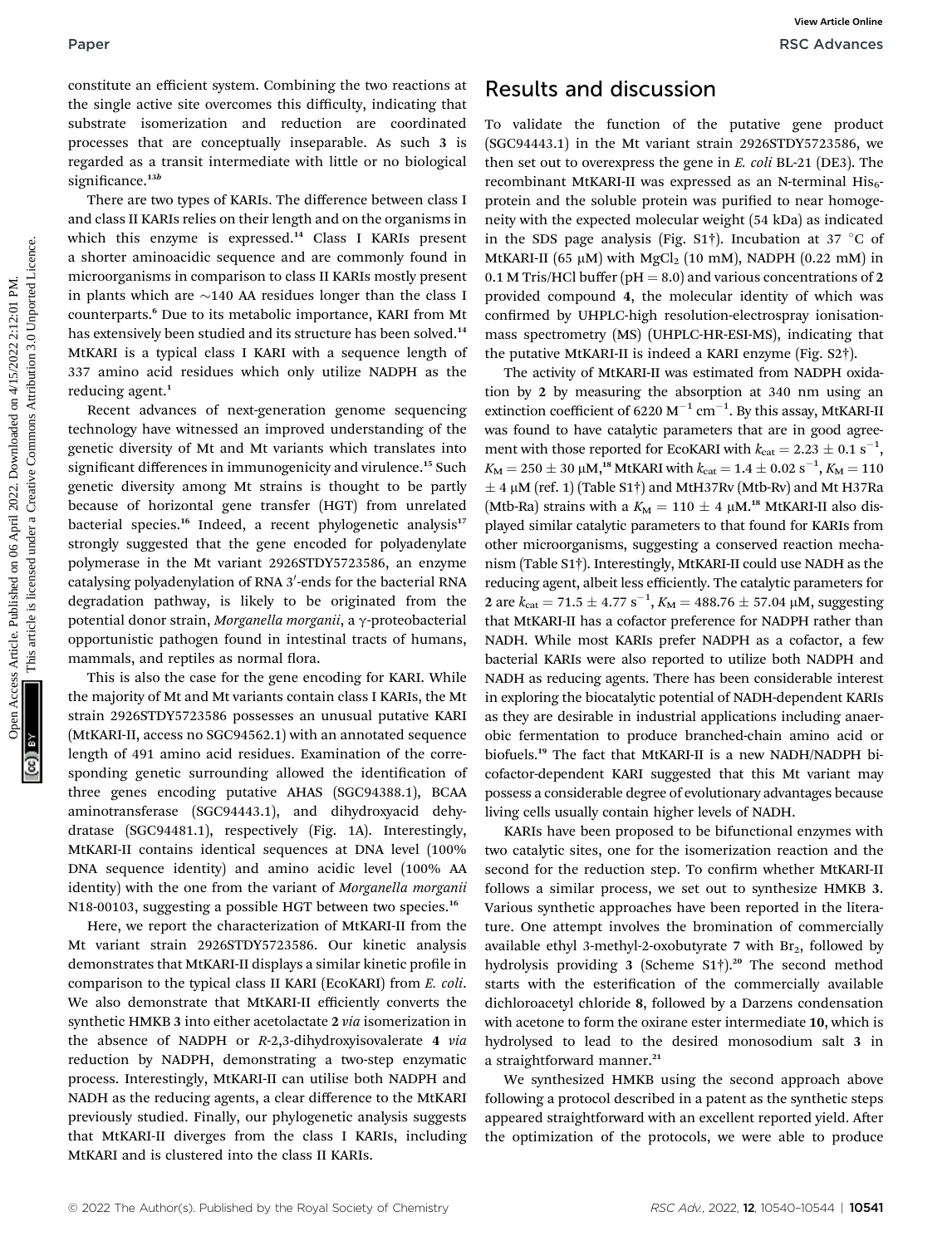constitute an efficient system. Combining the two reactions at the single active site overcomes this difficulty, indicating that substrate isomerization and reduction are coordinated processes that are conceptually inseparable. As such 3 is regarded as a transit intermediate with little or no biological significance.<sup>13b</sup>

There are two types of KARIs. The difference between class I and class II KARIs relies on their length and on the organisms in which this enzyme is expressed.<sup>14</sup> Class I KARIs present a shorter aminoacidic sequence and are commonly found in microorganisms in comparison to class II KARIs mostly present in plants which are  $\sim$ 140 AA residues longer than the class I counterparts.<sup>6</sup> Due to its metabolic importance, KARI from Mt has extensively been studied and its structure has been solved.<sup>14</sup> MtKARI is a typical class I KARI with a sequence length of 337 amino acid residues which only utilize NADPH as the reducing agent.<sup>1</sup>

Recent advances of next-generation genome sequencing technology have witnessed an improved understanding of the genetic diversity of Mt and Mt variants which translates into significant differences in immunogenicity and virulence.<sup>15</sup> Such genetic diversity among Mt strains is thought to be partly because of horizontal gene transfer (HGT) from unrelated bacterial species.<sup>16</sup> Indeed, a recent phylogenetic analysis<sup>17</sup> strongly suggested that the gene encoded for polyadenylate polymerase in the Mt variant 2926STDY5723586, an enzyme catalysing polyadenylation of RNA 3′-ends for the bacterial RNA degradation pathway, is likely to be originated from the potential donor strain, Morganella morganii, a  $\gamma$ -proteobacterial opportunistic pathogen found in intestinal tracts of humans, mammals, and reptiles as normal flora.

This is also the case for the gene encoding for KARI. While the majority of Mt and Mt variants contain class I KARIs, the Mt strain 2926STDY5723586 possesses an unusual putative KARI (MtKARI-II, access no SGC94562.1) with an annotated sequence length of 491 amino acid residues. Examination of the corresponding genetic surrounding allowed the identification of three genes encoding putative AHAS (SGC94388.1), BCAA aminotransferase (SGC94443.1), and dihydroxyacid dehydratase (SGC94481.1), respectively (Fig. 1A). Interestingly, MtKARI-II contains identical sequences at DNA level (100% DNA sequence identity) and amino acidic level (100% AA identity) with the one from the variant of Morganella morganii N18-00103, suggesting a possible HGT between two species.<sup>16</sup>

Here, we report the characterization of MtKARI-II from the Mt variant strain 2926STDY5723586. Our kinetic analysis demonstrates that MtKARI-II displays a similar kinetic profile in comparison to the typical class II KARI (EcoKARI) from E. coli. We also demonstrate that MtKARI-II efficiently converts the synthetic HMKB 3 into either acetolactate 2 via isomerization in the absence of NADPH or R-2,3-dihydroxyisovalerate 4 via reduction by NADPH, demonstrating a two-step enzymatic process. Interestingly, MtKARI-II can utilise both NADPH and NADH as the reducing agents, a clear difference to the MtKARI previously studied. Finally, our phylogenetic analysis suggests that MtKARI-II diverges from the class I KARIs, including MtKARI and is clustered into the class II KARIs.

### Results and discussion

To validate the function of the putative gene product (SGC94443.1) in the Mt variant strain 2926STDY5723586, we then set out to overexpress the gene in E. coli BL-21 (DE3). The recombinant MtKARI-II was expressed as an N-terminal  $His_{6}$ protein and the soluble protein was purified to near homogeneity with the expected molecular weight (54 kDa) as indicated in the SDS page analysis (Fig. S1<sup>†</sup>). Incubation at 37  $\degree$ C of MtKARI-II (65  $\mu$ M) with MgCl<sub>2</sub> (10 mM), NADPH (0.22 mM) in 0.1 M Tris/HCl buffer ( $pH = 8.0$ ) and various concentrations of 2 provided compound 4, the molecular identity of which was confirmed by UHPLC-high resolution-electrospray ionisationmass spectrometry (MS) (UHPLC-HR-ESI-MS), indicating that the putative MtKARI-II is indeed a KARI enzyme (Fig. S2†).

The activity of MtKARI-II was estimated from NADPH oxidation by 2 by measuring the absorption at 340 nm using an extinction coefficient of 6220  $M^{-1}$  cm<sup>-1</sup>. By this assay, MtKARI-II was found to have catalytic parameters that are in good agreement with those reported for EcoKARI with  $k_{\text{cat}} = 2.23 \pm 0.1 \text{ s}^{-1}$ ,  $K_M = 250 \pm 30 \mu M$ ,<sup>18</sup> MtKARI with  $k_{cat} = 1.4 \pm 0.02 \text{ s}^{-1}$ ,  $K_M = 110$ <br>+ 4 uM (ref. 1) (Table S1<sup>+</sup>) and MtH27Dy (Mth Py) and Mt H27De  $\pm$  4 µM (ref. 1) (Table S1†) and MtH37Rv (Mtb-Rv) and Mt H37Ra (Mtb-Ra) strains with a  $K_M = 110 \pm 4 \mu M$ <sup>18</sup> MtKARI-II also displayed similar catalytic parameters to that found for KARIs from other microorganisms, suggesting a conserved reaction mechanism (Table S1†). Interestingly, MtKARI-II could use NADH as the reducing agent, albeit less efficiently. The catalytic parameters for 2 are  $k_{\text{cat}} = 71.5 \pm 4.77 \text{ s}^{-1}$ ,  $K_M = 488.76 \pm 57.04 \text{ }\mu\text{M}$ , suggesting<br>that MtVAPLU has a soferior proformac for NADPLU rather than that MtKARI-II has a cofactor preference for NADPH rather than NADH. While most KARIs prefer NADPH as a cofactor, a few bacterial KARIs were also reported to utilize both NADPH and NADH as reducing agents. There has been considerable interest in exploring the biocatalytic potential of NADH-dependent KARIs as they are desirable in industrial applications including anaerobic fermentation to produce branched-chain amino acid or biofuels.<sup>19</sup> The fact that MtKARI-II is a new NADH/NADPH bicofactor-dependent KARI suggested that this Mt variant may possess a considerable degree of evolutionary advantages because living cells usually contain higher levels of NADH. Paper<br>
Consider the original control on the different on the different on the signal control on the signal control on the signal control on the signal control on the signal control of the signal control on the signal cont

> KARIs have been proposed to be bifunctional enzymes with two catalytic sites, one for the isomerization reaction and the second for the reduction step. To confirm whether MtKARI-II follows a similar process, we set out to synthesize HMKB 3. Various synthetic approaches have been reported in the literature. One attempt involves the bromination of commercially available ethyl 3-methyl-2-oxobutyrate 7 with  $Br<sub>2</sub>$ , followed by hydrolysis providing 3 (Scheme S1<sup>†</sup>).<sup>20</sup> The second method starts with the esterification of the commercially available dichloroacetyl chloride 8, followed by a Darzens condensation with acetone to form the oxirane ester intermediate 10, which is hydrolysed to lead to the desired monosodium salt 3 in a straightforward manner.<sup>21</sup>

> We synthesized HMKB using the second approach above following a protocol described in a patent as the synthetic steps appeared straightforward with an excellent reported yield. After the optimization of the protocols, we were able to produce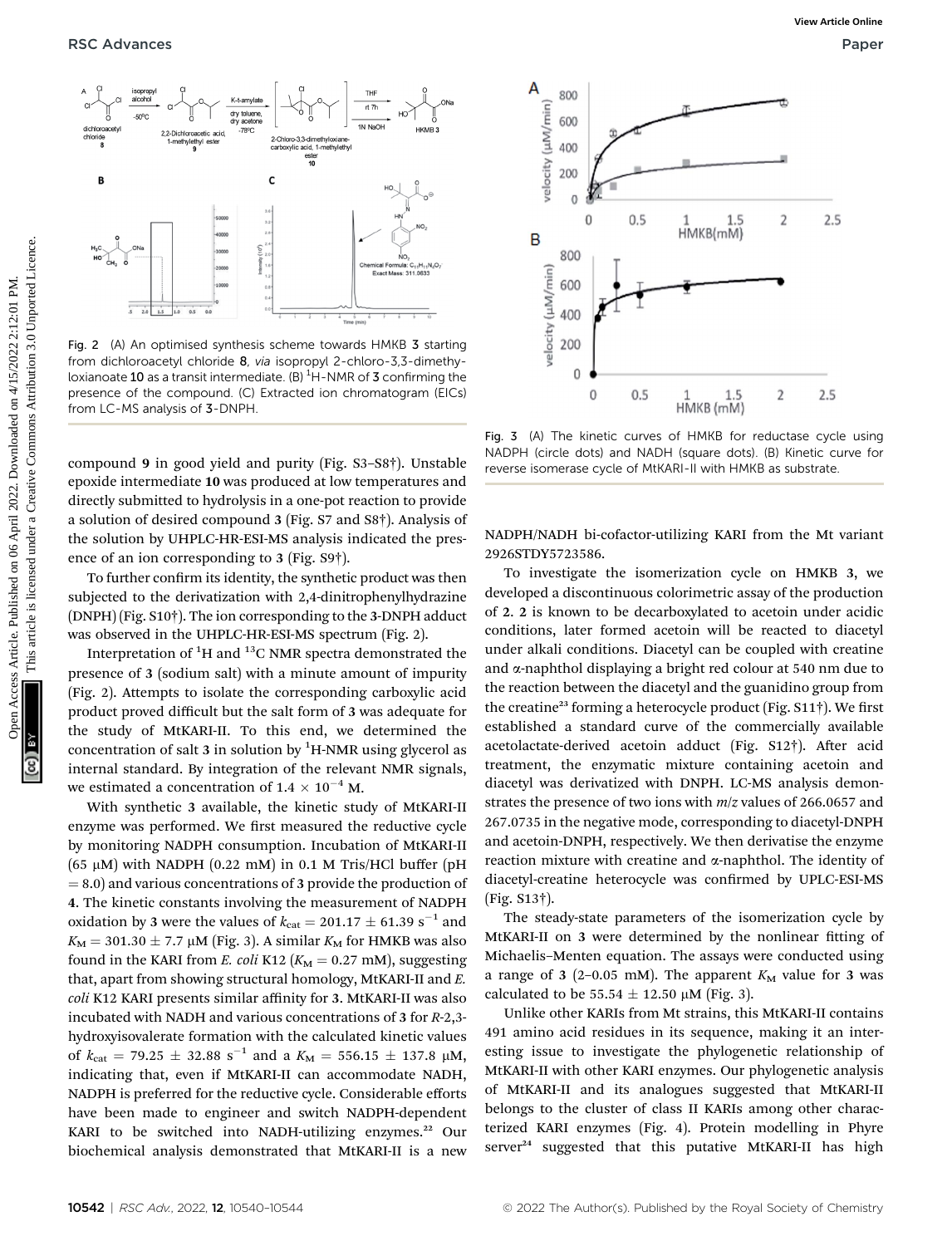

Fig. 2 (A) An optimised synthesis scheme towards HMKB 3 starting from dichloroacetyl chloride 8, via isopropyl 2-chloro-3,3-dimethyloxianoate  ${\bf 10}$  as a transit intermediate. (B)  $^{\rm 1}$ H-NMR of  ${\bf 3}$  confirming the presence of the compound. (C) Extracted ion chromatogram (EICs) from LC-MS analysis of 3-DNPH

compound 9 in good yield and purity (Fig. S3–S8†). Unstable epoxide intermediate 10 was produced at low temperatures and directly submitted to hydrolysis in a one-pot reaction to provide a solution of desired compound 3 (Fig. S7 and S8†). Analysis of the solution by UHPLC-HR-ESI-MS analysis indicated the presence of an ion corresponding to 3 (Fig. S9†).

To further confirm its identity, the synthetic product was then subjected to the derivatization with 2,4-dinitrophenylhydrazine (DNPH) (Fig. S10†). The ion corresponding to the 3-DNPH adduct was observed in the UHPLC-HR-ESI-MS spectrum (Fig. 2).

Interpretation of  $^1\mathrm{H}$  and  $^{13}\mathrm{C}$  NMR spectra demonstrated the presence of 3 (sodium salt) with a minute amount of impurity (Fig. 2). Attempts to isolate the corresponding carboxylic acid product proved difficult but the salt form of 3 was adequate for the study of MtKARI-II. To this end, we determined the concentration of salt  $3$  in solution by  ${}^{1}$ H-NMR using glycerol as internal standard. By integration of the relevant NMR signals, we estimated a concentration of 1.4  $\times$   $10^{-4}$  M.

With synthetic 3 available, the kinetic study of MtKARI-II enzyme was performed. We first measured the reductive cycle by monitoring NADPH consumption. Incubation of MtKARI-II (65  $\mu$ M) with NADPH (0.22 mM) in 0.1 M Tris/HCl buffer (pH  $= 8.0$ ) and various concentrations of 3 provide the production of 4. The kinetic constants involving the measurement of NADPH oxidation by 3 were the values of  $k_{\text{cat}} = 201.17 \pm 61.39 \text{ s}^{-1}$  and  $K_M = 301.30 \pm 7.7 \mu M$  (Fig. 3). A similar  $K_M$  for HMKB was also found in the KARI from E. coli K12 ( $K_M = 0.27$  mM), suggesting that, apart from showing structural homology, MtKARI-II and E. coli K12 KARI presents similar affinity for 3. MtKARI-II was also incubated with NADH and various concentrations of 3 for R-2,3 hydroxyisovalerate formation with the calculated kinetic values of  $k_{\text{cat}} = 79.25 \pm 32.88 \text{ s}^{-1}$  and a  $K_M = 556.15 \pm 137.8 \text{ }\mu\text{M}$ , indicating that, even if MtKARI-II can accommodate NADH, NADPH is preferred for the reductive cycle. Considerable efforts have been made to engineer and switch NADPH-dependent KARI to be switched into NADH-utilizing enzymes.<sup>22</sup> Our biochemical analysis demonstrated that MtKARI-II is a new



Fig. 3 (A) The kinetic curves of HMKB for reductase cycle using NADPH (circle dots) and NADH (square dots). (B) Kinetic curve for reverse isomerase cycle of MtKARI-II with HMKB as substrate.

NADPH/NADH bi-cofactor-utilizing KARI from the Mt variant 2926STDY5723586.

To investigate the isomerization cycle on HMKB 3, we developed a discontinuous colorimetric assay of the production of 2. 2 is known to be decarboxylated to acetoin under acidic conditions, later formed acetoin will be reacted to diacetyl under alkali conditions. Diacetyl can be coupled with creatine and a-naphthol displaying a bright red colour at 540 nm due to the reaction between the diacetyl and the guanidino group from the creatine<sup>23</sup> forming a heterocycle product (Fig.  $S11\dagger$ ). We first established a standard curve of the commercially available acetolactate-derived acetoin adduct (Fig. S12†). After acid treatment, the enzymatic mixture containing acetoin and diacetyl was derivatized with DNPH. LC-MS analysis demonstrates the presence of two ions with  $m/z$  values of 266.0657 and 267.0735 in the negative mode, corresponding to diacetyl-DNPH and acetoin-DNPH, respectively. We then derivatise the enzyme reaction mixture with creatine and  $\alpha$ -naphthol. The identity of diacetyl-creatine heterocycle was confirmed by UPLC-ESI-MS (Fig. S13†).

The steady-state parameters of the isomerization cycle by MtKARI-II on 3 were determined by the nonlinear fitting of Michaelis–Menten equation. The assays were conducted using a range of 3 (2–0.05 mM). The apparent  $K_M$  value for 3 was calculated to be 55.54  $\pm$  12.50 µM (Fig. 3).

Unlike other KARIs from Mt strains, this MtKARI-II contains 491 amino acid residues in its sequence, making it an interesting issue to investigate the phylogenetic relationship of MtKARI-II with other KARI enzymes. Our phylogenetic analysis of MtKARI-II and its analogues suggested that MtKARI-II belongs to the cluster of class II KARIs among other characterized KARI enzymes (Fig. 4). Protein modelling in Phyre server<sup>24</sup> suggested that this putative MtKARI-II has high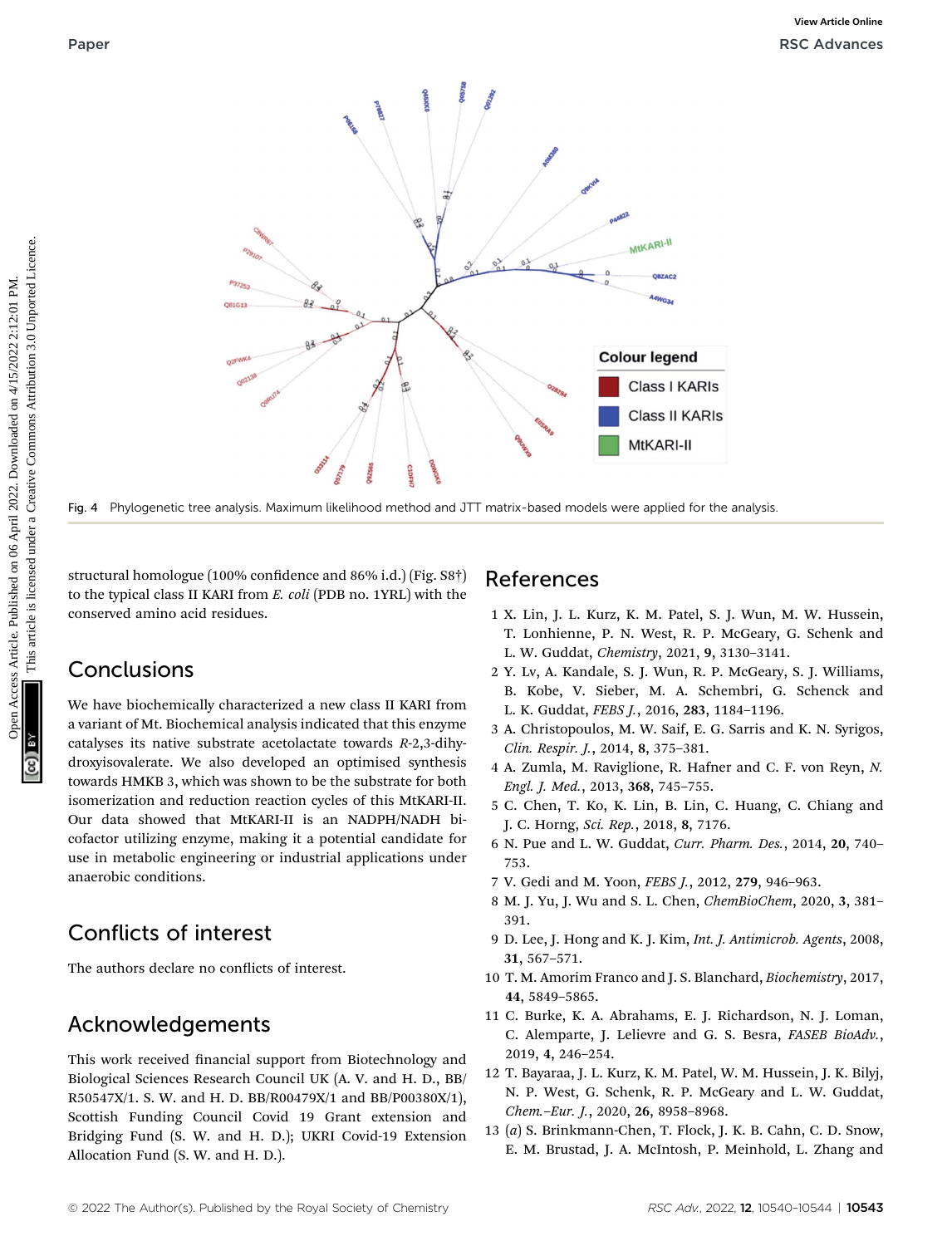

Fig. 4 Phylogenetic tree analysis. Maximum likelihood method and JTT matrix-based models were applied for the analysis.

structural homologue (100% confidence and 86% i.d.) (Fig. S8†) to the typical class II KARI from E. coli (PDB no. 1YRL) with the conserved amino acid residues.

### **Conclusions**

We have biochemically characterized a new class II KARI from a variant of Mt. Biochemical analysis indicated that this enzyme catalyses its native substrate acetolactate towards R-2,3-dihydroxyisovalerate. We also developed an optimised synthesis towards HMKB 3, which was shown to be the substrate for both isomerization and reduction reaction cycles of this MtKARI-II. Our data showed that MtKARI-II is an NADPH/NADH bicofactor utilizing enzyme, making it a potential candidate for use in metabolic engineering or industrial applications under anaerobic conditions.

## Conflicts of interest

The authors declare no conflicts of interest.

### Acknowledgements

This work received financial support from Biotechnology and Biological Sciences Research Council UK (A. V. and H. D., BB/ R50547X/1. S. W. and H. D. BB/R00479X/1 and BB/P00380X/1), Scottish Funding Council Covid 19 Grant extension and Bridging Fund (S. W. and H. D.); UKRI Covid-19 Extension Allocation Fund (S. W. and H. D.).

#### References

- 1 X. Lin, J. L. Kurz, K. M. Patel, S. J. Wun, M. W. Hussein, T. Lonhienne, P. N. West, R. P. McGeary, G. Schenk and L. W. Guddat, Chemistry, 2021, 9, 3130–3141.
- 2 Y. Lv, A. Kandale, S. J. Wun, R. P. McGeary, S. J. Williams, B. Kobe, V. Sieber, M. A. Schembri, G. Schenck and L. K. Guddat, FEBS J., 2016, 283, 1184–1196.
- 3 A. Christopoulos, M. W. Saif, E. G. Sarris and K. N. Syrigos, Clin. Respir. J., 2014, 8, 375–381.
- 4 A. Zumla, M. Raviglione, R. Hafner and C. F. von Reyn, N. Engl. J. Med., 2013, 368, 745–755.
- 5 C. Chen, T. Ko, K. Lin, B. Lin, C. Huang, C. Chiang and J. C. Horng, Sci. Rep., 2018, 8, 7176.
- 6 N. Pue and L. W. Guddat, Curr. Pharm. Des., 2014, 20, 740– 753.
- 7 V. Gedi and M. Yoon, FEBS J., 2012, 279, 946–963.
- 8 M. J. Yu, J. Wu and S. L. Chen, ChemBioChem, 2020, 3, 381– 391.
- 9 D. Lee, J. Hong and K. J. Kim, Int. J. Antimicrob. Agents, 2008, 31, 567–571.
- 10 T. M. Amorim Franco and J. S. Blanchard, Biochemistry, 2017, 44, 5849–5865.
- 11 C. Burke, K. A. Abrahams, E. J. Richardson, N. J. Loman, C. Alemparte, J. Lelievre and G. S. Besra, FASEB BioAdv., 2019, 4, 246–254.
- 12 T. Bayaraa, J. L. Kurz, K. M. Patel, W. M. Hussein, J. K. Bilyj, N. P. West, G. Schenk, R. P. McGeary and L. W. Guddat, Chem.–Eur. J., 2020, 26, 8958–8968.
- 13 (a) S. Brinkmann-Chen, T. Flock, J. K. B. Cahn, C. D. Snow, E. M. Brustad, J. A. McIntosh, P. Meinhold, L. Zhang and